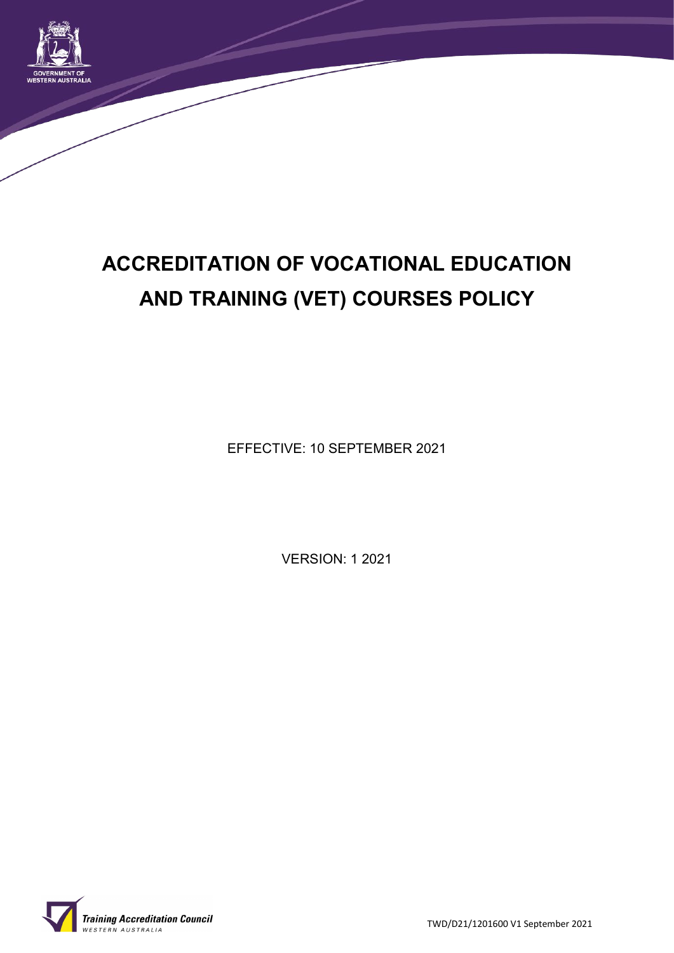

# **ACCREDITATION OF VOCATIONAL EDUCATION AND TRAINING (VET) COURSES POLICY**

EFFECTIVE: 10 SEPTEMBER 2021

VERSION: 1 2021



TWD/D21/1201600 V1 September 2021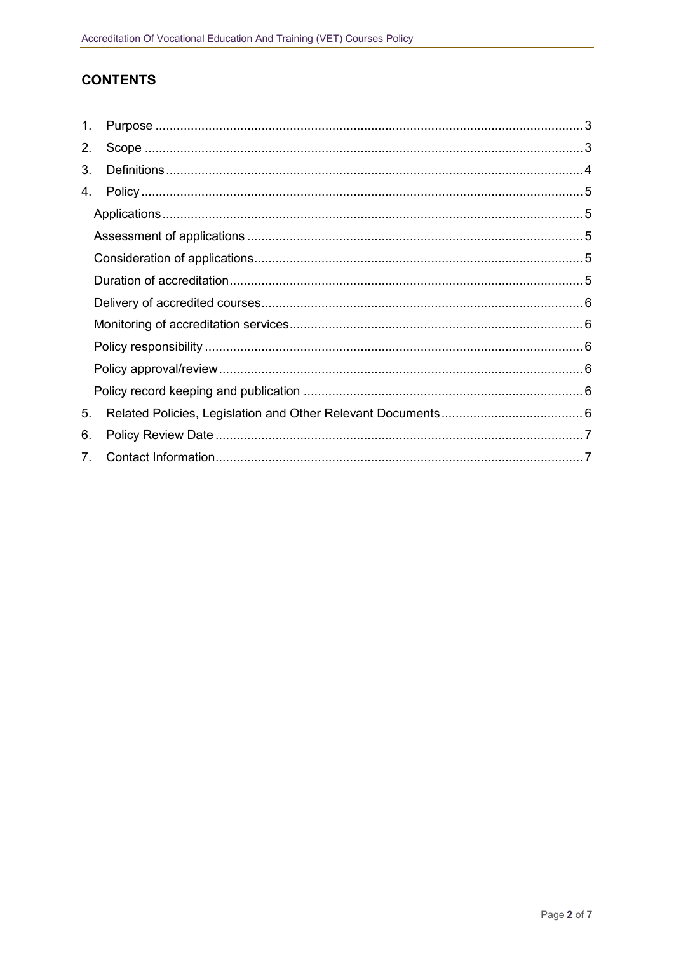# **CONTENTS**

| 1.                             |  |  |
|--------------------------------|--|--|
| 2.                             |  |  |
| 3.                             |  |  |
| 4.                             |  |  |
|                                |  |  |
|                                |  |  |
|                                |  |  |
|                                |  |  |
|                                |  |  |
|                                |  |  |
|                                |  |  |
|                                |  |  |
|                                |  |  |
| 5.                             |  |  |
| 6.                             |  |  |
| $7_{\scriptscriptstyle{\sim}}$ |  |  |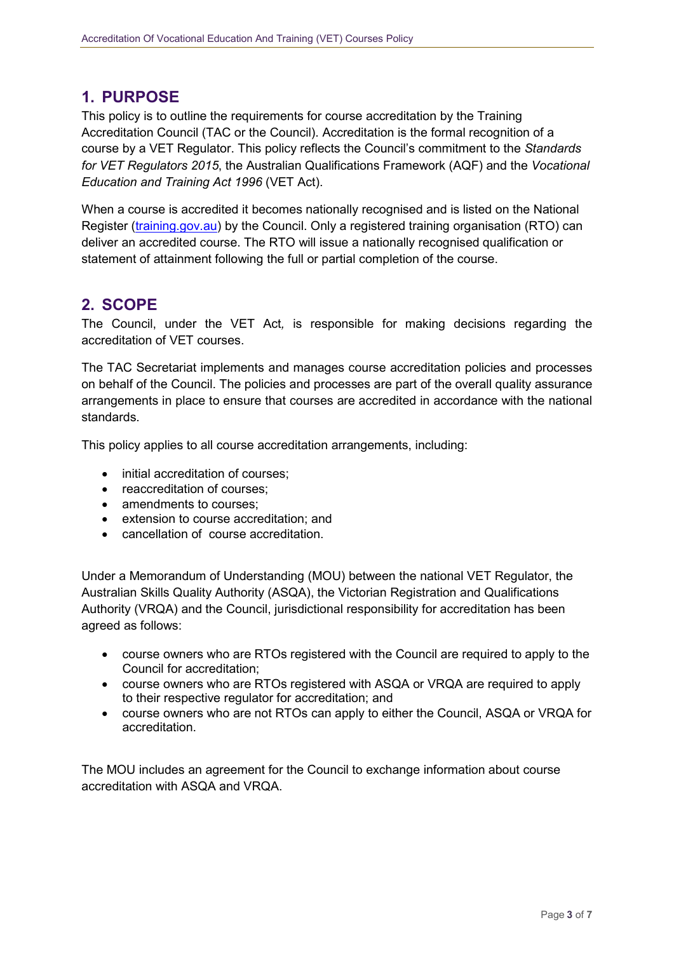# **1. PURPOSE**

This policy is to outline the requirements for course accreditation by the Training Accreditation Council (TAC or the Council). Accreditation is the formal recognition of a course by a VET Regulator. This policy reflects the Council's commitment to the *Standards for VET Regulators 2015*, the Australian Qualifications Framework (AQF) and the *Vocational Education and Training Act 1996* (VET Act).

When a course is accredited it becomes nationally recognised and is listed on the National Register [\(training.gov.au\)](http://training.gov.au/) by the Council. Only a registered training organisation (RTO) can deliver an accredited course. The RTO will issue a nationally recognised qualification or statement of attainment following the full or partial completion of the course.

## **2. SCOPE**

The Council, under the VET Act*,* is responsible for making decisions regarding the accreditation of VET courses.

The TAC Secretariat implements and manages course accreditation policies and processes on behalf of the Council. The policies and processes are part of the overall quality assurance arrangements in place to ensure that courses are accredited in accordance with the national standards.

This policy applies to all course accreditation arrangements, including:

- initial accreditation of courses;
- reaccreditation of courses;
- amendments to courses:
- extension to course accreditation; and
- cancellation of course accreditation.

Under a Memorandum of Understanding (MOU) between the national VET Regulator, the Australian Skills Quality Authority (ASQA), the Victorian Registration and Qualifications Authority (VRQA) and the Council, jurisdictional responsibility for accreditation has been agreed as follows:

- course owners who are RTOs registered with the Council are required to apply to the Council for accreditation;
- course owners who are RTOs registered with ASQA or VRQA are required to apply to their respective regulator for accreditation; and
- course owners who are not RTOs can apply to either the Council, ASQA or VRQA for accreditation.

The MOU includes an agreement for the Council to exchange information about course accreditation with ASQA and VRQA.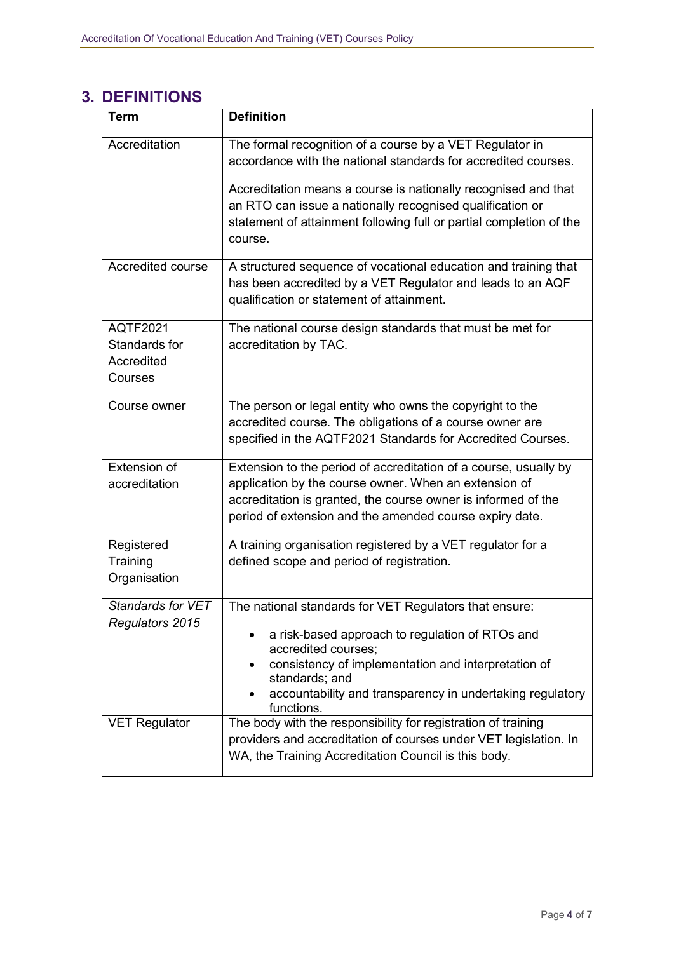# **3. DEFINITIONS**

| <b>Term</b>                                               | <b>Definition</b>                                                                                                                                                                                                                                                                                                                           |
|-----------------------------------------------------------|---------------------------------------------------------------------------------------------------------------------------------------------------------------------------------------------------------------------------------------------------------------------------------------------------------------------------------------------|
| Accreditation                                             | The formal recognition of a course by a VET Regulator in<br>accordance with the national standards for accredited courses.<br>Accreditation means a course is nationally recognised and that<br>an RTO can issue a nationally recognised qualification or<br>statement of attainment following full or partial completion of the<br>course. |
| Accredited course                                         | A structured sequence of vocational education and training that<br>has been accredited by a VET Regulator and leads to an AQF<br>qualification or statement of attainment.                                                                                                                                                                  |
| <b>AQTF2021</b><br>Standards for<br>Accredited<br>Courses | The national course design standards that must be met for<br>accreditation by TAC.                                                                                                                                                                                                                                                          |
| Course owner                                              | The person or legal entity who owns the copyright to the<br>accredited course. The obligations of a course owner are<br>specified in the AQTF2021 Standards for Accredited Courses.                                                                                                                                                         |
| Extension of<br>accreditation                             | Extension to the period of accreditation of a course, usually by<br>application by the course owner. When an extension of<br>accreditation is granted, the course owner is informed of the<br>period of extension and the amended course expiry date.                                                                                       |
| Registered<br>Training<br>Organisation                    | A training organisation registered by a VET regulator for a<br>defined scope and period of registration.                                                                                                                                                                                                                                    |
| <b>Standards for VET</b><br>Regulators 2015               | The national standards for VET Regulators that ensure:<br>a risk-based approach to regulation of RTOs and<br>accredited courses;<br>consistency of implementation and interpretation of<br>standards; and<br>accountability and transparency in undertaking regulatory<br>functions.                                                        |
| <b>VET Regulator</b>                                      | The body with the responsibility for registration of training<br>providers and accreditation of courses under VET legislation. In<br>WA, the Training Accreditation Council is this body.                                                                                                                                                   |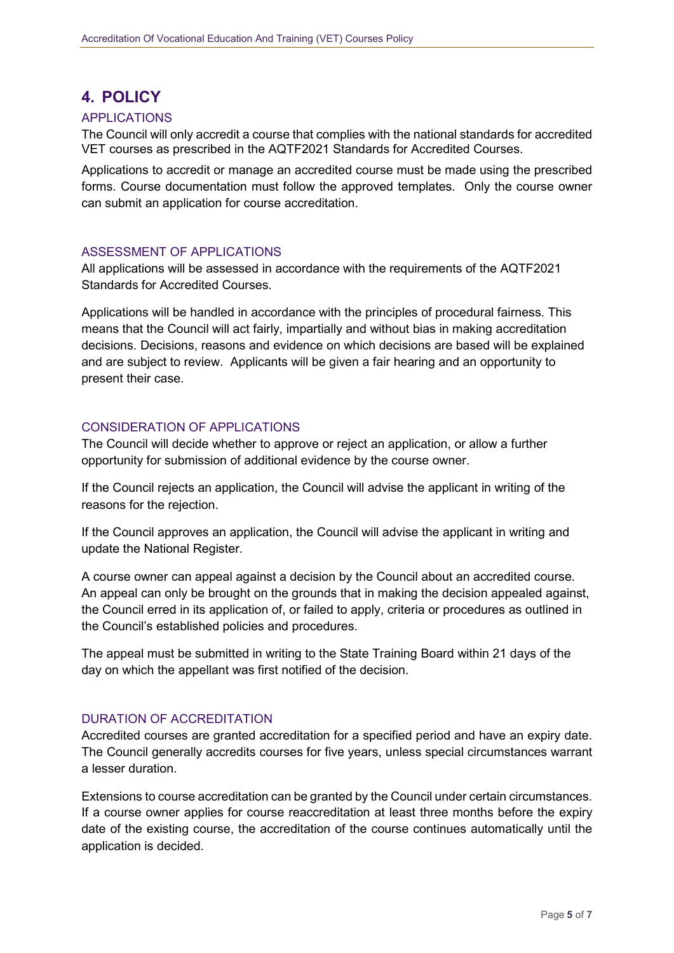# **4. POLICY**

#### APPLICATIONS

The Council will only accredit a course that complies with the national standards for accredited VET courses as prescribed in the AQTF2021 Standards for Accredited Courses.

Applications to accredit or manage an accredited course must be made using the prescribed forms. Course documentation must follow the approved templates. Only the course owner can submit an application for course accreditation.

#### ASSESSMENT OF APPLICATIONS

All applications will be assessed in accordance with the requirements of the AQTF2021 Standards for Accredited Courses.

Applications will be handled in accordance with the principles of procedural fairness. This means that the Council will act fairly, impartially and without bias in making accreditation decisions. Decisions, reasons and evidence on which decisions are based will be explained and are subject to review. Applicants will be given a fair hearing and an opportunity to present their case.

#### CONSIDERATION OF APPLICATIONS

The Council will decide whether to approve or reject an application, or allow a further opportunity for submission of additional evidence by the course owner.

If the Council rejects an application, the Council will advise the applicant in writing of the reasons for the rejection.

If the Council approves an application, the Council will advise the applicant in writing and update the National Register.

A course owner can appeal against a decision by the Council about an accredited course. An appeal can only be brought on the grounds that in making the decision appealed against, the Council erred in its application of, or failed to apply, criteria or procedures as outlined in the Council's established policies and procedures.

The appeal must be submitted in writing to the State Training Board within 21 days of the day on which the appellant was first notified of the decision.

#### DURATION OF ACCREDITATION

Accredited courses are granted accreditation for a specified period and have an expiry date. The Council generally accredits courses for five years, unless special circumstances warrant a lesser duration.

Extensions to course accreditation can be granted by the Council under certain circumstances. If a course owner applies for course reaccreditation at least three months before the expiry date of the existing course, the accreditation of the course continues automatically until the application is decided.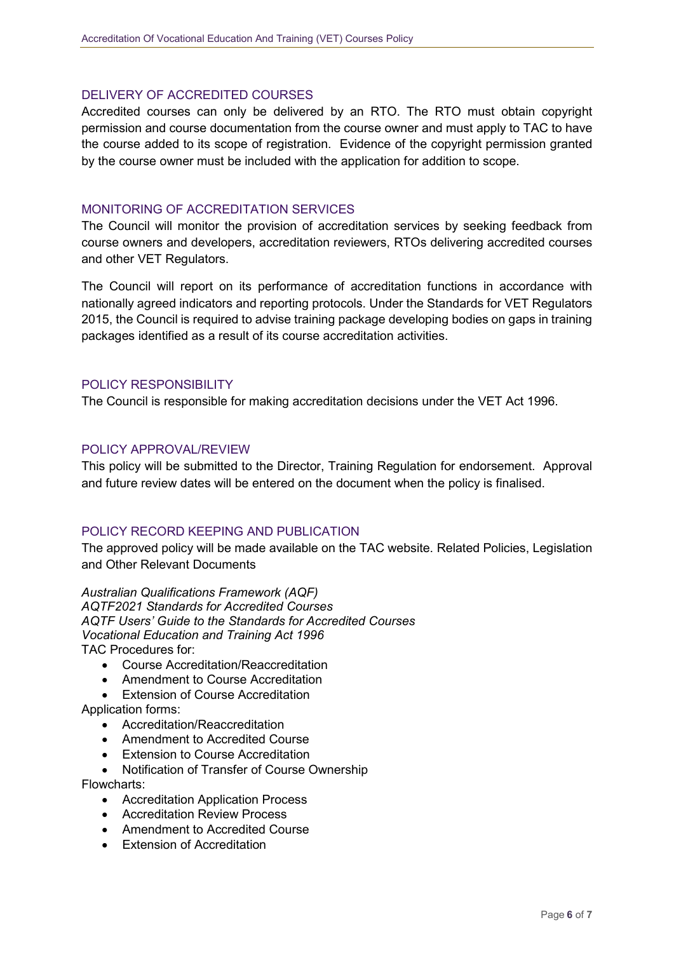#### DELIVERY OF ACCREDITED COURSES

Accredited courses can only be delivered by an RTO. The RTO must obtain copyright permission and course documentation from the course owner and must apply to TAC to have the course added to its scope of registration. Evidence of the copyright permission granted by the course owner must be included with the application for addition to scope.

#### MONITORING OF ACCREDITATION SERVICES

The Council will monitor the provision of accreditation services by seeking feedback from course owners and developers, accreditation reviewers, RTOs delivering accredited courses and other VET Regulators.

The Council will report on its performance of accreditation functions in accordance with nationally agreed indicators and reporting protocols. Under the Standards for VET Regulators 2015, the Council is required to advise training package developing bodies on gaps in training packages identified as a result of its course accreditation activities.

#### POLICY RESPONSIBILITY

The Council is responsible for making accreditation decisions under the VET Act 1996.

#### POLICY APPROVAL/REVIEW

This policy will be submitted to the Director, Training Regulation for endorsement. Approval and future review dates will be entered on the document when the policy is finalised.

#### POLICY RECORD KEEPING AND PUBLICATION

The approved policy will be made available on the TAC website. Related Policies, Legislation and Other Relevant Documents

*Australian Qualifications Framework (AQF) AQTF2021 Standards for Accredited Courses AQTF Users' Guide to the Standards for Accredited Courses Vocational Education and Training Act 1996* TAC Procedures for:

- Course Accreditation/Reaccreditation
- Amendment to Course Accreditation
- Extension of Course Accreditation

Application forms:

- Accreditation/Reaccreditation
- Amendment to Accredited Course
- Extension to Course Accreditation
- Notification of Transfer of Course Ownership

Flowcharts:

- Accreditation Application Process
- Accreditation Review Process
- Amendment to Accredited Course
- Extension of Accreditation